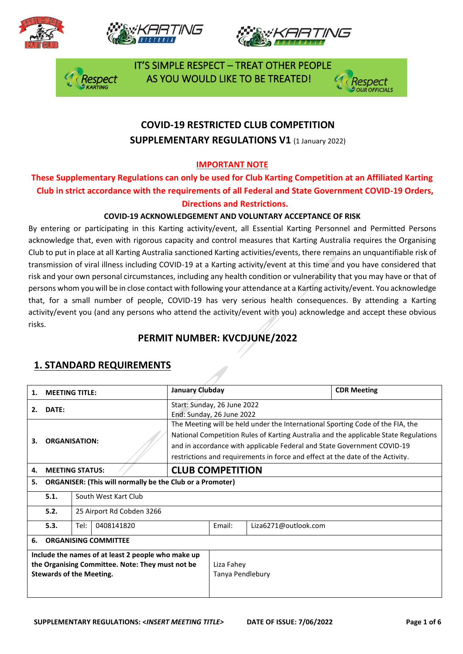







 IT'S SIMPLE RESPECT – TREAT OTHER PEOPLE AS YOU WOULD LIKE TO BE TREATED!



# **COVID-19 RESTRICTED CLUB COMPETITION SUPPLEMENTARY REGULATIONS V1 (1 January 2022)**

## **IMPORTANT NOTE**

## **These Supplementary Regulations can only be used for Club Karting Competition at an Affiliated Karting Club in strict accordance with the requirements of all Federal and State Government COVID-19 Orders, Directions and Restrictions.**

#### **COVID-19 ACKNOWLEDGEMENT AND VOLUNTARY ACCEPTANCE OF RISK**

By entering or participating in this Karting activity/event, all Essential Karting Personnel and Permitted Persons acknowledge that, even with rigorous capacity and control measures that Karting Australia requires the Organising Club to put in place at all Karting Australia sanctioned Karting activities/events, there remains an unquantifiable risk of transmission of viral illness including COVID-19 at a Karting activity/event at this time and you have considered that risk and your own personal circumstances, including any health condition or vulnerability that you may have or that of persons whom you will be in close contact with following your attendance at a Karting activity/event. You acknowledge that, for a small number of people, COVID-19 has very serious health consequences. By attending a Karting activity/event you (and any persons who attend the activity/event with you) acknowledge and accept these obvious risks.

# **PERMIT NUMBER: KVCDJUNE/2022**

| 1.                                                                                                                                        | <b>MEETING TITLE:</b>       |                                                                  | January Clubday                                                                                                                                                                                                                                                                                                                     |                                |                      | <b>CDR Meeting</b> |  |
|-------------------------------------------------------------------------------------------------------------------------------------------|-----------------------------|------------------------------------------------------------------|-------------------------------------------------------------------------------------------------------------------------------------------------------------------------------------------------------------------------------------------------------------------------------------------------------------------------------------|--------------------------------|----------------------|--------------------|--|
| 2.                                                                                                                                        | DATE:                       |                                                                  | Start: Sunday, 26 June 2022<br>End: Sunday, 26 June 2022                                                                                                                                                                                                                                                                            |                                |                      |                    |  |
| 3.                                                                                                                                        | <b>ORGANISATION:</b>        |                                                                  | The Meeting will be held under the International Sporting Code of the FIA, the<br>National Competition Rules of Karting Australia and the applicable State Regulations<br>and in accordance with applicable Federal and State Government COVID-19<br>restrictions and requirements in force and effect at the date of the Activity. |                                |                      |                    |  |
| 4.                                                                                                                                        |                             | <b>MEETING STATUS:</b>                                           | <b>CLUB COMPETITION</b>                                                                                                                                                                                                                                                                                                             |                                |                      |                    |  |
| 5.                                                                                                                                        |                             | <b>ORGANISER: (This will normally be the Club or a Promoter)</b> |                                                                                                                                                                                                                                                                                                                                     |                                |                      |                    |  |
|                                                                                                                                           | 5.1.                        | South West Kart Club                                             |                                                                                                                                                                                                                                                                                                                                     |                                |                      |                    |  |
|                                                                                                                                           | 5.2.                        | 25 Airport Rd Cobden 3266                                        |                                                                                                                                                                                                                                                                                                                                     |                                |                      |                    |  |
|                                                                                                                                           | Tel:<br>5.3.<br>0408141820  |                                                                  |                                                                                                                                                                                                                                                                                                                                     | Email:                         | Liza6271@outlook.com |                    |  |
| 6.                                                                                                                                        | <b>ORGANISING COMMITTEE</b> |                                                                  |                                                                                                                                                                                                                                                                                                                                     |                                |                      |                    |  |
| Include the names of at least 2 people who make up<br>the Organising Committee. Note: They must not be<br><b>Stewards of the Meeting.</b> |                             |                                                                  |                                                                                                                                                                                                                                                                                                                                     | Liza Fahey<br>Tanya Pendlebury |                      |                    |  |

## **1. STANDARD REQUIREMENTS**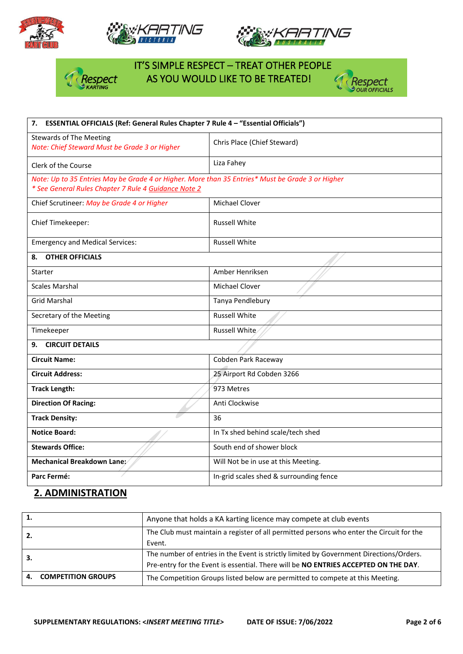







# IT'S SIMPLE RESPECT – TREAT OTHER PEOPLE  $\frac{1}{2}$  Respect AS YOU WOULD LIKE TO BE TREATED!



| 7. ESSENTIAL OFFICIALS (Ref: General Rules Chapter 7 Rule 4 - "Essential Officials")                                                                     |                                         |  |  |
|----------------------------------------------------------------------------------------------------------------------------------------------------------|-----------------------------------------|--|--|
| <b>Stewards of The Meeting</b><br>Note: Chief Steward Must be Grade 3 or Higher                                                                          | Chris Place (Chief Steward)             |  |  |
| Clerk of the Course                                                                                                                                      | Liza Fahey                              |  |  |
| Note: Up to 35 Entries May be Grade 4 or Higher. More than 35 Entries* Must be Grade 3 or Higher<br>* See General Rules Chapter 7 Rule 4 Guidance Note 2 |                                         |  |  |
| Chief Scrutineer: May be Grade 4 or Higher                                                                                                               | Michael Clover                          |  |  |
| Chief Timekeeper:                                                                                                                                        | <b>Russell White</b>                    |  |  |
| <b>Emergency and Medical Services:</b>                                                                                                                   | <b>Russell White</b>                    |  |  |
| <b>OTHER OFFICIALS</b><br>8.                                                                                                                             |                                         |  |  |
| <b>Starter</b>                                                                                                                                           | Amber Henriksen                         |  |  |
| <b>Scales Marshal</b>                                                                                                                                    | Michael Clover                          |  |  |
| <b>Grid Marshal</b>                                                                                                                                      | Tanya Pendlebury                        |  |  |
| Secretary of the Meeting                                                                                                                                 | <b>Russell White</b>                    |  |  |
| Timekeeper                                                                                                                                               | Russell White                           |  |  |
| <b>CIRCUIT DETAILS</b><br>9.                                                                                                                             |                                         |  |  |
| <b>Circuit Name:</b>                                                                                                                                     | Cobden Park Raceway                     |  |  |
| <b>Circuit Address:</b>                                                                                                                                  | 25 Airport Rd Cobden 3266               |  |  |
| <b>Track Length:</b>                                                                                                                                     | 973 Metres                              |  |  |
| <b>Direction Of Racing:</b>                                                                                                                              | Anti Clockwise                          |  |  |
| <b>Track Density:</b>                                                                                                                                    | 36                                      |  |  |
| <b>Notice Board:</b>                                                                                                                                     | In Tx shed behind scale/tech shed       |  |  |
| <b>Stewards Office:</b>                                                                                                                                  | South end of shower block               |  |  |
| Mechanical Breakdown Lane:∕                                                                                                                              | Will Not be in use at this Meeting.     |  |  |
| Parc Fermé:                                                                                                                                              | In-grid scales shed & surrounding fence |  |  |

# **2. ADMINISTRATION**

| The Club must maintain a register of all permitted persons who enter the Circuit for the |
|------------------------------------------------------------------------------------------|
|                                                                                          |
| The number of entries in the Event is strictly limited by Government Directions/Orders.  |
| Pre-entry for the Event is essential. There will be NO ENTRIES ACCEPTED ON THE DAY.      |
|                                                                                          |
|                                                                                          |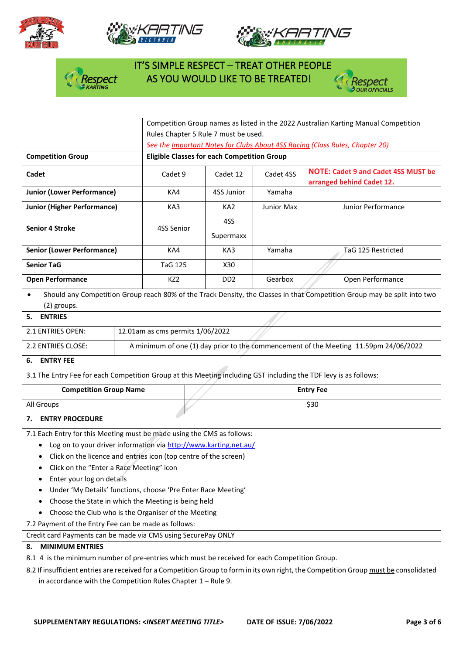







# IT'S SIMPLE RESPECT – TREAT OTHER PEOPLE  $\frac{1}{2}$  Respect AS YOU WOULD LIKE TO BE TREATED!



|                                                                                                                                                                                                                                                                                                                                                          |                                                                                                                          | Competition Group names as listed in the 2022 Australian Karting Manual Competition |                                                    |                             |            |                                                                         |  |  |
|----------------------------------------------------------------------------------------------------------------------------------------------------------------------------------------------------------------------------------------------------------------------------------------------------------------------------------------------------------|--------------------------------------------------------------------------------------------------------------------------|-------------------------------------------------------------------------------------|----------------------------------------------------|-----------------------------|------------|-------------------------------------------------------------------------|--|--|
|                                                                                                                                                                                                                                                                                                                                                          | Rules Chapter 5 Rule 7 must be used.                                                                                     |                                                                                     |                                                    |                             |            |                                                                         |  |  |
|                                                                                                                                                                                                                                                                                                                                                          |                                                                                                                          | See the Important Notes for Clubs About 4SS Racing (Class Rules, Chapter 20)        |                                                    |                             |            |                                                                         |  |  |
| <b>Competition Group</b>                                                                                                                                                                                                                                                                                                                                 |                                                                                                                          |                                                                                     | <b>Eligible Classes for each Competition Group</b> |                             |            |                                                                         |  |  |
| Cadet                                                                                                                                                                                                                                                                                                                                                    |                                                                                                                          | Cadet 9                                                                             |                                                    | Cadet 12<br>Cadet 4SS       |            | <b>NOTE: Cadet 9 and Cadet 4SS MUST be</b><br>arranged behind Cadet 12. |  |  |
| <b>Junior (Lower Performance)</b>                                                                                                                                                                                                                                                                                                                        |                                                                                                                          | KA4                                                                                 |                                                    | 4SS Junior                  | Yamaha     |                                                                         |  |  |
| <b>Junior (Higher Performance)</b>                                                                                                                                                                                                                                                                                                                       |                                                                                                                          | KA3                                                                                 |                                                    | KA <sub>2</sub>             | Junior Max | Junior Performance                                                      |  |  |
| <b>Senior 4 Stroke</b>                                                                                                                                                                                                                                                                                                                                   | 4SS Senior                                                                                                               |                                                                                     | 4SS<br>Supermaxx                                   |                             |            |                                                                         |  |  |
| <b>Senior (Lower Performance)</b>                                                                                                                                                                                                                                                                                                                        |                                                                                                                          | KA4                                                                                 |                                                    | KA3                         | Yamaha     | TaG 125 Restricted                                                      |  |  |
| <b>Senior TaG</b>                                                                                                                                                                                                                                                                                                                                        |                                                                                                                          | <b>TaG 125</b>                                                                      |                                                    | X30                         |            |                                                                         |  |  |
| <b>Open Performance</b>                                                                                                                                                                                                                                                                                                                                  |                                                                                                                          | KZ <sub>2</sub>                                                                     |                                                    | D <sub>D</sub> <sub>2</sub> | Gearbox    | Open Performance                                                        |  |  |
| (2) groups.                                                                                                                                                                                                                                                                                                                                              | Should any Competition Group reach 80% of the Track Density, the Classes in that Competition Group may be split into two |                                                                                     |                                                    |                             |            |                                                                         |  |  |
| <b>ENTRIES</b><br>5.                                                                                                                                                                                                                                                                                                                                     |                                                                                                                          |                                                                                     |                                                    |                             |            |                                                                         |  |  |
| 2.1 ENTRIES OPEN:                                                                                                                                                                                                                                                                                                                                        |                                                                                                                          | 12.01am as cms permits 1/06/2022                                                    |                                                    |                             |            |                                                                         |  |  |
| 2.2 ENTRIES CLOSE:<br>A minimum of one (1) day prior to the commencement of the Meeting 11.59pm 24/06/2022                                                                                                                                                                                                                                               |                                                                                                                          |                                                                                     |                                                    |                             |            |                                                                         |  |  |
| <b>ENTRY FEE</b><br>6.                                                                                                                                                                                                                                                                                                                                   |                                                                                                                          |                                                                                     |                                                    |                             |            |                                                                         |  |  |
| 3.1 The Entry Fee for each Competition Group at this Meeting including GST including the TDF levy is as follows:                                                                                                                                                                                                                                         |                                                                                                                          |                                                                                     |                                                    |                             |            |                                                                         |  |  |
| <b>Competition Group Name</b>                                                                                                                                                                                                                                                                                                                            |                                                                                                                          |                                                                                     |                                                    |                             |            | <b>Entry Fee</b>                                                        |  |  |
| All Groups                                                                                                                                                                                                                                                                                                                                               |                                                                                                                          | \$30                                                                                |                                                    |                             |            |                                                                         |  |  |
| 7. ENTRY PROCEDURE                                                                                                                                                                                                                                                                                                                                       |                                                                                                                          |                                                                                     |                                                    |                             |            |                                                                         |  |  |
| 7.1 Each Entry for this Meeting must be made using the CMS as follows:<br>Log on to your driver information via http://www.karting.net.au/<br>Click on the licence and entries icon (top centre of the screen)<br>Click on the "Enter a Race Meeting" icon<br>Enter your log on details<br>Under 'My Details' functions, choose 'Pre Enter Race Meeting' |                                                                                                                          |                                                                                     |                                                    |                             |            |                                                                         |  |  |
| Choose the State in which the Meeting is being held                                                                                                                                                                                                                                                                                                      |                                                                                                                          |                                                                                     |                                                    |                             |            |                                                                         |  |  |
| Choose the Club who is the Organiser of the Meeting<br>7.2 Payment of the Entry Fee can be made as follows:                                                                                                                                                                                                                                              |                                                                                                                          |                                                                                     |                                                    |                             |            |                                                                         |  |  |
| Credit card Payments can be made via CMS using SecurePay ONLY                                                                                                                                                                                                                                                                                            |                                                                                                                          |                                                                                     |                                                    |                             |            |                                                                         |  |  |
| <b>MINIMUM ENTRIES</b><br>8.                                                                                                                                                                                                                                                                                                                             |                                                                                                                          |                                                                                     |                                                    |                             |            |                                                                         |  |  |
| 8.1 4 is the minimum number of pre-entries which must be received for each Competition Group.                                                                                                                                                                                                                                                            |                                                                                                                          |                                                                                     |                                                    |                             |            |                                                                         |  |  |
| 8.2 If insufficient entries are received for a Competition Group to form in its own right, the Competition Group must be consolidated                                                                                                                                                                                                                    |                                                                                                                          |                                                                                     |                                                    |                             |            |                                                                         |  |  |
| in accordance with the Competition Rules Chapter $1 -$ Rule 9.                                                                                                                                                                                                                                                                                           |                                                                                                                          |                                                                                     |                                                    |                             |            |                                                                         |  |  |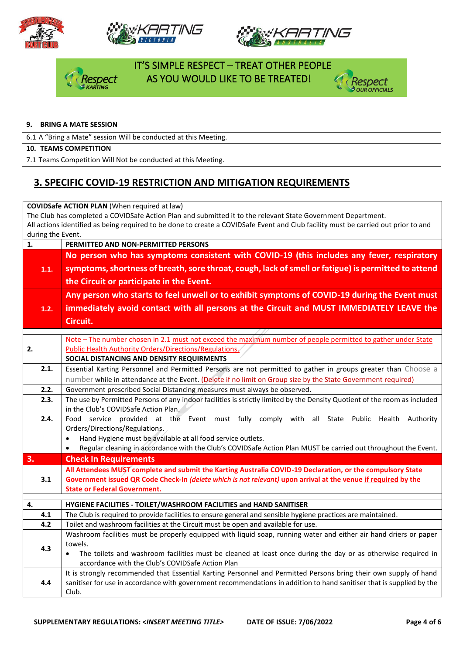







# IT'S SIMPLE RESPECT – TREAT OTHER PEOPLE **espect** AS YOU WOULD LIKE TO BE TREATED!



#### **9. BRING A MATE SESSION**

6.1 A "Bring a Mate" session Will be conducted at this Meeting.

#### **10. TEAMS COMPETITION**

7.1 Teams Competition Will Not be conducted at this Meeting.

## **3. SPECIFIC COVID-19 RESTRICTION AND MITIGATION REQUIREMENTS**

| <b>COVIDSafe ACTION PLAN (When required at law)</b> |                                                                                                                                                                                                                                                    |  |  |  |  |  |
|-----------------------------------------------------|----------------------------------------------------------------------------------------------------------------------------------------------------------------------------------------------------------------------------------------------------|--|--|--|--|--|
|                                                     | The Club has completed a COVIDSafe Action Plan and submitted it to the relevant State Government Department.<br>All actions identified as being required to be done to create a COVIDSafe Event and Club facility must be carried out prior to and |  |  |  |  |  |
| during the Event.                                   |                                                                                                                                                                                                                                                    |  |  |  |  |  |
| 1.                                                  | PERMITTED AND NON-PERMITTED PERSONS                                                                                                                                                                                                                |  |  |  |  |  |
|                                                     | No person who has symptoms consistent with COVID-19 (this includes any fever, respiratory                                                                                                                                                          |  |  |  |  |  |
| 1.1.                                                | symptoms, shortness of breath, sore throat, cough, lack of smell or fatigue) is permitted to attend                                                                                                                                                |  |  |  |  |  |
|                                                     |                                                                                                                                                                                                                                                    |  |  |  |  |  |
|                                                     | the Circuit or participate in the Event.                                                                                                                                                                                                           |  |  |  |  |  |
|                                                     | Any person who starts to feel unwell or to exhibit symptoms of COVID-19 during the Event must                                                                                                                                                      |  |  |  |  |  |
| 1.2.                                                | immediately avoid contact with all persons at the Circuit and MUST IMMEDIATELY LEAVE the                                                                                                                                                           |  |  |  |  |  |
|                                                     | Circuit.                                                                                                                                                                                                                                           |  |  |  |  |  |
|                                                     |                                                                                                                                                                                                                                                    |  |  |  |  |  |
|                                                     | Note - The number chosen in 2.1 must not exceed the maximum number of people permitted to gather under State                                                                                                                                       |  |  |  |  |  |
| 2.                                                  | <b>Public Health Authority Orders/Directions/Regulations/</b><br>SOCIAL DISTANCING AND DENSITY REQUIRMENTS                                                                                                                                         |  |  |  |  |  |
| 2.1.                                                | Essential Karting Personnel and Permitted Persons are not permitted to gather in groups greater than Choose a                                                                                                                                      |  |  |  |  |  |
|                                                     | number while in attendance at the Event. (Delete if no limit on Group size by the State Government required)                                                                                                                                       |  |  |  |  |  |
| 2.2.                                                | Government prescribed Social Distancing measures must always be observed.                                                                                                                                                                          |  |  |  |  |  |
| 2.3.                                                | The use by Permitted Persons of any indoor facilities is strictly limited by the Density Quotient of the room as included                                                                                                                          |  |  |  |  |  |
|                                                     | in the Club's COVIDSafe Action Plan.                                                                                                                                                                                                               |  |  |  |  |  |
| 2.4.                                                | Food service provided at the Event must fully comply with all State Public Health Authority                                                                                                                                                        |  |  |  |  |  |
|                                                     | Orders/Directions/Regulations.                                                                                                                                                                                                                     |  |  |  |  |  |
|                                                     | Hand Hygiene must be available at all food service outlets.<br>$\bullet$                                                                                                                                                                           |  |  |  |  |  |
|                                                     | Regular cleaning in accordance with the Club's COVIDSafe Action Plan MUST be carried out throughout the Event.<br>$\bullet$                                                                                                                        |  |  |  |  |  |
| 3.                                                  | <b>Check In Requirements</b>                                                                                                                                                                                                                       |  |  |  |  |  |
| 3.1                                                 | All Attendees MUST complete and submit the Karting Australia COVID-19 Declaration, or the compulsory State<br>Government issued QR Code Check-In (delete which is not relevant) upon arrival at the venue if required by the                       |  |  |  |  |  |
|                                                     | <b>State or Federal Government.</b>                                                                                                                                                                                                                |  |  |  |  |  |
|                                                     |                                                                                                                                                                                                                                                    |  |  |  |  |  |
| 4.                                                  | HYGIENE FACILITIES - TOILET/WASHROOM FACILITIES and HAND SANITISER                                                                                                                                                                                 |  |  |  |  |  |
| 4.1<br>4.2                                          | The Club is required to provide facilities to ensure general and sensible hygiene practices are maintained.                                                                                                                                        |  |  |  |  |  |
|                                                     | Toilet and washroom facilities at the Circuit must be open and available for use.<br>Washroom facilities must be properly equipped with liquid soap, running water and either air hand driers or paper                                             |  |  |  |  |  |
|                                                     | towels.                                                                                                                                                                                                                                            |  |  |  |  |  |
| 4.3                                                 | The toilets and washroom facilities must be cleaned at least once during the day or as otherwise required in<br>$\bullet$                                                                                                                          |  |  |  |  |  |
|                                                     | accordance with the Club's COVIDSafe Action Plan                                                                                                                                                                                                   |  |  |  |  |  |
|                                                     | It is strongly recommended that Essential Karting Personnel and Permitted Persons bring their own supply of hand                                                                                                                                   |  |  |  |  |  |
| 4.4                                                 | sanitiser for use in accordance with government recommendations in addition to hand sanitiser that is supplied by the                                                                                                                              |  |  |  |  |  |
|                                                     | Club.                                                                                                                                                                                                                                              |  |  |  |  |  |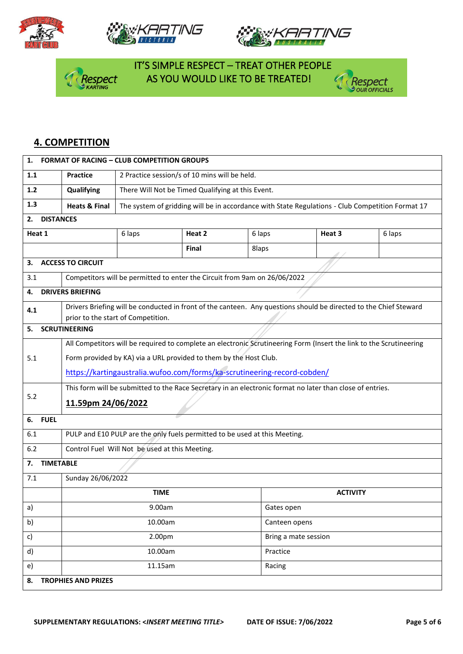







 IT'S SIMPLE RESPECT – TREAT OTHER PEOPLE AS YOU WOULD LIKE TO BE TREATED!



### **4. COMPETITION**

| 1.                                                    | <b>FORMAT OF RACING - CLUB COMPETITION GROUPS</b>                                                                                                                                        |                                                                                                  |              |          |                                                                                                                   |        |  |  |  |  |
|-------------------------------------------------------|------------------------------------------------------------------------------------------------------------------------------------------------------------------------------------------|--------------------------------------------------------------------------------------------------|--------------|----------|-------------------------------------------------------------------------------------------------------------------|--------|--|--|--|--|
| 1.1                                                   | <b>Practice</b>                                                                                                                                                                          | 2 Practice session/s of 10 mins will be held.                                                    |              |          |                                                                                                                   |        |  |  |  |  |
| $1.2$                                                 | Qualifying                                                                                                                                                                               | There Will Not be Timed Qualifying at this Event.                                                |              |          |                                                                                                                   |        |  |  |  |  |
| 1.3                                                   | <b>Heats &amp; Final</b>                                                                                                                                                                 | The system of gridding will be in accordance with State Regulations - Club Competition Format 17 |              |          |                                                                                                                   |        |  |  |  |  |
| <b>DISTANCES</b><br>2.                                |                                                                                                                                                                                          |                                                                                                  |              |          |                                                                                                                   |        |  |  |  |  |
| Heat 1                                                |                                                                                                                                                                                          | 6 laps                                                                                           | Heat 2       | 6 laps   | Heat 3                                                                                                            | 6 laps |  |  |  |  |
|                                                       |                                                                                                                                                                                          |                                                                                                  | <b>Final</b> | 8laps    |                                                                                                                   |        |  |  |  |  |
| З.                                                    | <b>ACCESS TO CIRCUIT</b>                                                                                                                                                                 |                                                                                                  |              |          |                                                                                                                   |        |  |  |  |  |
| 3.1                                                   | Competitors will be permitted to enter the Circuit from 9am on 26/06/2022                                                                                                                |                                                                                                  |              |          |                                                                                                                   |        |  |  |  |  |
| 4.                                                    | <b>DRIVERS BRIEFING</b>                                                                                                                                                                  |                                                                                                  |              |          |                                                                                                                   |        |  |  |  |  |
| 4.1                                                   |                                                                                                                                                                                          |                                                                                                  |              |          | Drivers Briefing will be conducted in front of the canteen. Any questions should be directed to the Chief Steward |        |  |  |  |  |
| 5.                                                    | <b>SCRUTINEERING</b>                                                                                                                                                                     | prior to the start of Competition.                                                               |              |          |                                                                                                                   |        |  |  |  |  |
|                                                       |                                                                                                                                                                                          |                                                                                                  |              |          |                                                                                                                   |        |  |  |  |  |
| 5.1                                                   | All Competitors will be required to complete an electronic Scrutineering Form (Insert the link to the Scrutineering<br>Form provided by KA) via a URL provided to them by the Host Club. |                                                                                                  |              |          |                                                                                                                   |        |  |  |  |  |
|                                                       | https://kartingaustralia.wufoo.com/forms/ka-scrutineering-record-cobden/                                                                                                                 |                                                                                                  |              |          |                                                                                                                   |        |  |  |  |  |
|                                                       | This form will be submitted to the Race Secretary in an electronic format no later than close of entries.                                                                                |                                                                                                  |              |          |                                                                                                                   |        |  |  |  |  |
| 5.2                                                   | 11.59pm 24/06/2022                                                                                                                                                                       |                                                                                                  |              |          |                                                                                                                   |        |  |  |  |  |
|                                                       |                                                                                                                                                                                          |                                                                                                  |              |          |                                                                                                                   |        |  |  |  |  |
| 6.1                                                   | <b>FUEL</b><br>6.                                                                                                                                                                        |                                                                                                  |              |          |                                                                                                                   |        |  |  |  |  |
|                                                       | PULP and E10 PULP are the only fuels permitted to be used at this Meeting.                                                                                                               |                                                                                                  |              |          |                                                                                                                   |        |  |  |  |  |
| 6.2<br>Control Fuel Will Not be used at this Meeting. |                                                                                                                                                                                          |                                                                                                  |              |          |                                                                                                                   |        |  |  |  |  |
| 7.1                                                   | <b>TIMETABLE</b><br>7.                                                                                                                                                                   |                                                                                                  |              |          |                                                                                                                   |        |  |  |  |  |
|                                                       | Sunday 26/06/2022                                                                                                                                                                        |                                                                                                  |              |          |                                                                                                                   |        |  |  |  |  |
|                                                       |                                                                                                                                                                                          | <b>TIME</b>                                                                                      |              |          | <b>ACTIVITY</b>                                                                                                   |        |  |  |  |  |
| a)                                                    |                                                                                                                                                                                          | 9.00am                                                                                           |              |          | Gates open                                                                                                        |        |  |  |  |  |
| b)                                                    | 10.00am                                                                                                                                                                                  |                                                                                                  |              |          | Canteen opens                                                                                                     |        |  |  |  |  |
| c)                                                    |                                                                                                                                                                                          | 2.00pm                                                                                           |              |          | Bring a mate session                                                                                              |        |  |  |  |  |
| d)                                                    |                                                                                                                                                                                          | 10.00am                                                                                          |              | Practice |                                                                                                                   |        |  |  |  |  |
| 11.15am<br>e)<br>Racing                               |                                                                                                                                                                                          |                                                                                                  |              |          |                                                                                                                   |        |  |  |  |  |
| 8.                                                    | <b>TROPHIES AND PRIZES</b>                                                                                                                                                               |                                                                                                  |              |          |                                                                                                                   |        |  |  |  |  |